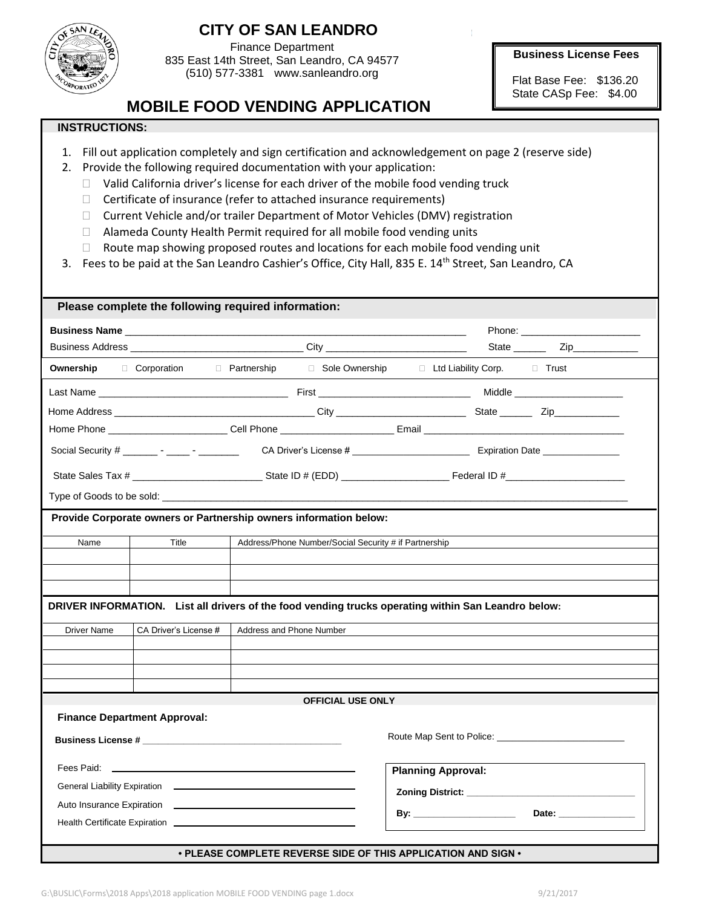

## **CITY OF SAN LEANDRO**

Finance Department 835 East 14th Street, San Leandro, CA 94577 (510) 577-3381 www.sanleandro.org

**Business License Fees**

Flat Base Fee: \$136.20 State CASp Fee: \$4.00

## **MOBILE FOOD VENDING APPLICATION**

## **INSTRUCTIONS:**

- 1. Fill out application completely and sign certification and acknowledgement on page 2 (reserve side)
- 2. Provide the following required documentation with your application:
	- $\Box$  Valid California driver's license for each driver of the mobile food vending truck
	- $\Box$  Certificate of insurance (refer to attached insurance requirements)
	- Current Vehicle and/or trailer Department of Motor Vehicles (DMV) registration
	- □ Alameda County Health Permit required for all mobile food vending units
	- □ Route map showing proposed routes and locations for each mobile food vending unit
- 3. Fees to be paid at the San Leandro Cashier's Office, City Hall, 835 E. 14<sup>th</sup> Street, San Leandro, CA

| Please complete the following required information:                                                 |                                     |                                                                                  |                                                                                                                |  |  |
|-----------------------------------------------------------------------------------------------------|-------------------------------------|----------------------------------------------------------------------------------|----------------------------------------------------------------------------------------------------------------|--|--|
|                                                                                                     |                                     |                                                                                  |                                                                                                                |  |  |
|                                                                                                     |                                     | Business Address __________________________________City ________________________ | State $\frac{\qquad \qquad \text{Zip}}{\qquad \qquad \text{Iip}}$                                              |  |  |
| Ownership                                                                                           | □ Corporation □ Partnership         | □ Sole Ownership                                                                 | □ Ltd Liability Corp. □ Trust                                                                                  |  |  |
|                                                                                                     |                                     |                                                                                  | Middle ______________________                                                                                  |  |  |
|                                                                                                     |                                     |                                                                                  |                                                                                                                |  |  |
|                                                                                                     |                                     |                                                                                  |                                                                                                                |  |  |
|                                                                                                     |                                     |                                                                                  | Social Security # ________ - _______ CA Driver's License # ______________________ Expiration Date ____________ |  |  |
|                                                                                                     |                                     |                                                                                  |                                                                                                                |  |  |
|                                                                                                     |                                     |                                                                                  |                                                                                                                |  |  |
| Provide Corporate owners or Partnership owners information below:                                   |                                     |                                                                                  |                                                                                                                |  |  |
| Name                                                                                                | Title                               | Address/Phone Number/Social Security # if Partnership                            |                                                                                                                |  |  |
|                                                                                                     |                                     |                                                                                  |                                                                                                                |  |  |
|                                                                                                     |                                     |                                                                                  |                                                                                                                |  |  |
|                                                                                                     |                                     |                                                                                  |                                                                                                                |  |  |
| DRIVER INFORMATION. List all drivers of the food vending trucks operating within San Leandro below: |                                     |                                                                                  |                                                                                                                |  |  |
| <b>Driver Name</b>                                                                                  | CA Driver's License #               | Address and Phone Number                                                         |                                                                                                                |  |  |
|                                                                                                     |                                     |                                                                                  |                                                                                                                |  |  |
|                                                                                                     |                                     |                                                                                  |                                                                                                                |  |  |
|                                                                                                     |                                     |                                                                                  |                                                                                                                |  |  |
| <b>OFFICIAL USE ONLY</b>                                                                            |                                     |                                                                                  |                                                                                                                |  |  |
|                                                                                                     | <b>Finance Department Approval:</b> |                                                                                  |                                                                                                                |  |  |
|                                                                                                     |                                     |                                                                                  |                                                                                                                |  |  |
| Fees Paid: ______________                                                                           |                                     |                                                                                  | <b>Planning Approval:</b>                                                                                      |  |  |
|                                                                                                     |                                     |                                                                                  |                                                                                                                |  |  |
|                                                                                                     |                                     |                                                                                  |                                                                                                                |  |  |
|                                                                                                     |                                     | Health Certificate Expiration Learner and Contract Certificate Expiration        | Date: _________________                                                                                        |  |  |
|                                                                                                     |                                     |                                                                                  |                                                                                                                |  |  |
|                                                                                                     |                                     | • PLEASE COMPLETE REVERSE SIDE OF THIS APPLICATION AND SIGN •                    |                                                                                                                |  |  |